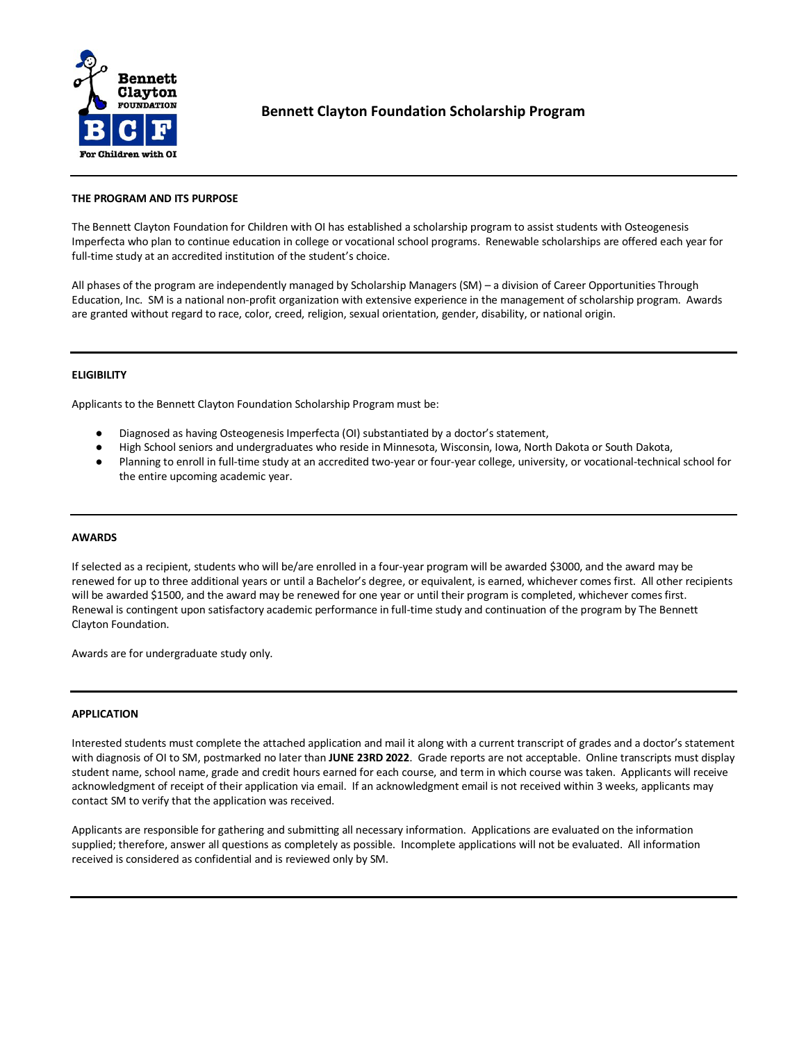

# **Bennett Clayton Foundation Scholarship Program**

### **THE PROGRAM AND ITS PURPOSE**

The Bennett Clayton Foundation for Children with OI has established a scholarship program to assist students with Osteogenesis Imperfecta who plan to continue education in college or vocational school programs. Renewable scholarships are offered each year for full-time study at an accredited institution of the student's choice.

All phases of the program are independently managed by Scholarship Managers (SM) – a division of Career Opportunities Through Education, Inc. SM is a national non-profit organization with extensive experience in the management of scholarship program. Awards are granted without regard to race, color, creed, religion, sexual orientation, gender, disability, or national origin.

# **ELIGIBILITY**

Applicants to the Bennett Clayton Foundation Scholarship Program must be:

- Diagnosed as having Osteogenesis Imperfecta (OI) substantiated by a doctor's statement,
- High School seniors and undergraduates who reside in Minnesota, Wisconsin, Iowa, North Dakota or South Dakota,
- Planning to enroll in full-time study at an accredited two-year or four-year college, university, or vocational-technical school for the entire upcoming academic year.

### **AWARDS**

If selected as a recipient, students who will be/are enrolled in a four-year program will be awarded \$3000, and the award may be renewed for up to three additional years or until a Bachelor's degree, or equivalent, is earned, whichever comes first. All other recipients will be awarded \$1500, and the award may be renewed for one year or until their program is completed, whichever comes first. Renewal is contingent upon satisfactory academic performance in full-time study and continuation of the program by The Bennett Clayton Foundation.

Awards are for undergraduate study only.

### **APPLICATION**

Interested students must complete the attached application and mail it along with a current transcript of grades and a doctor's statement with diagnosis of OI to SM, postmarked no later than **JUNE 23RD 2022**. Grade reports are not acceptable. Online transcripts must display student name, school name, grade and credit hours earned for each course, and term in which course was taken. Applicants will receive acknowledgment of receipt of their application via email. If an acknowledgment email is not received within 3 weeks, applicants may contact SM to verify that the application was received.

Applicants are responsible for gathering and submitting all necessary information. Applications are evaluated on the information supplied; therefore, answer all questions as completely as possible. Incomplete applications will not be evaluated. All information received is considered as confidential and is reviewed only by SM.